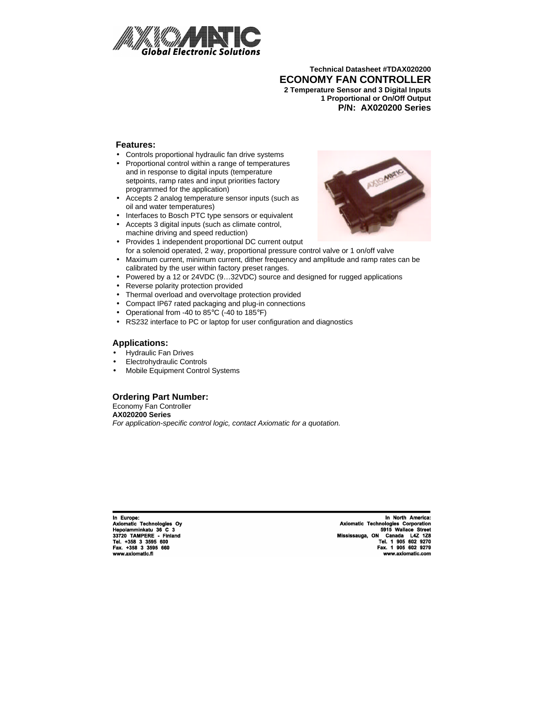

**Technical Datasheet #TDAX020200 ECONOMY FAN CONTROLLER 2 Temperature Sensor and 3 Digital Inputs 1 Proportional or On/Off Output P/N: AX020200 Series**

### **Features:**

- Controls proportional hydraulic fan drive systems
- Proportional control within a range of temperatures and in response to digital inputs (temperature setpoints, ramp rates and input priorities factory programmed for the application)
- Accepts 2 analog temperature sensor inputs (such as oil and water temperatures)
- Interfaces to Bosch PTC type sensors or equivalent
- Accepts 3 digital inputs (such as climate control, machine driving and speed reduction)
- Provides 1 independent proportional DC current output for a solenoid operated, 2 way, proportional pressure control valve or 1 on/off valve
- Maximum current, minimum current, dither frequency and amplitude and ramp rates can be calibrated by the user within factory preset ranges.
- Powered by a 12 or 24VDC (9...32VDC) source and designed for rugged applications
- Reverse polarity protection provided
- Thermal overload and overvoltage protection provided
- Compact IP67 rated packaging and plug-in connections
- Operational from -40 to 85°C (-40 to 185°F)
- RS232 interface to PC or laptop for user configuration and diagnostics

#### **Applications:**

- Hydraulic Fan Drives
- Electrohydraulic Controls
- Mobile Equipment Control Systems

#### **Ordering Part Number:**

Economy Fan Controller **AX020200 Series** *For application-specific control logic, contact Axiomatic for a quotation.*

In Europe: Axiomatic Technologies Oy Axiomatic Technologies<br>
Hepolamminkatu 36 C 3<br>
33720 TAMPERE - Finland<br>
Tel. +358 3 3595 600<br>
Fax. +358 3 3595 660 www.axiomatic.fi

In North America: Axiomatic Technologies Corporation Axiomatic Technologies Corporation<br>5915 Wallace Street<br>Mississauga, ON Canada L4Z 128<br>Tel. 1 905 602 9270<br>Fax. 1 905 602 9279 www.axiomatic.com

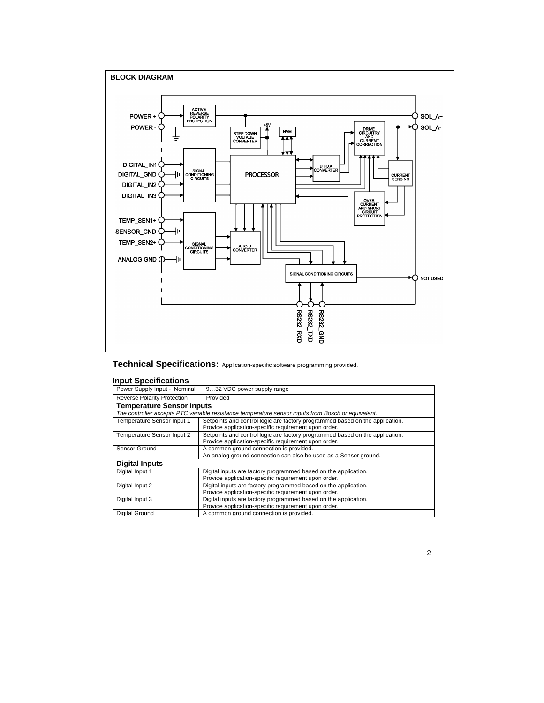

**Technical Specifications:** Application-specific software programming provided.

#### **Input Specifications**

| Power Supply Input - Nominal                                                                       | 932 VDC power supply range                                                   |  |  |  |
|----------------------------------------------------------------------------------------------------|------------------------------------------------------------------------------|--|--|--|
| <b>Reverse Polarity Protection</b>                                                                 | Provided                                                                     |  |  |  |
| <b>Temperature Sensor Inputs</b>                                                                   |                                                                              |  |  |  |
| The controller accepts PTC variable resistance temperature sensor inputs from Bosch or equivalent. |                                                                              |  |  |  |
| Temperature Sensor Input 1                                                                         | Setpoints and control logic are factory programmed based on the application. |  |  |  |
|                                                                                                    | Provide application-specific requirement upon order.                         |  |  |  |
| Temperature Sensor Input 2                                                                         | Setpoints and control logic are factory programmed based on the application. |  |  |  |
|                                                                                                    | Provide application-specific requirement upon order.                         |  |  |  |
| Sensor Ground                                                                                      | A common ground connection is provided.                                      |  |  |  |
|                                                                                                    | An analog ground connection can also be used as a Sensor ground.             |  |  |  |
| <b>Digital Inputs</b>                                                                              |                                                                              |  |  |  |
| Digital Input 1                                                                                    | Digital inputs are factory programmed based on the application.              |  |  |  |
|                                                                                                    | Provide application-specific requirement upon order.                         |  |  |  |
| Digital Input 2                                                                                    | Digital inputs are factory programmed based on the application.              |  |  |  |
|                                                                                                    | Provide application-specific requirement upon order.                         |  |  |  |
| Digital inputs are factory programmed based on the application.<br>Digital Input 3                 |                                                                              |  |  |  |
|                                                                                                    | Provide application-specific requirement upon order.                         |  |  |  |
| Digital Ground                                                                                     | A common ground connection is provided.                                      |  |  |  |

2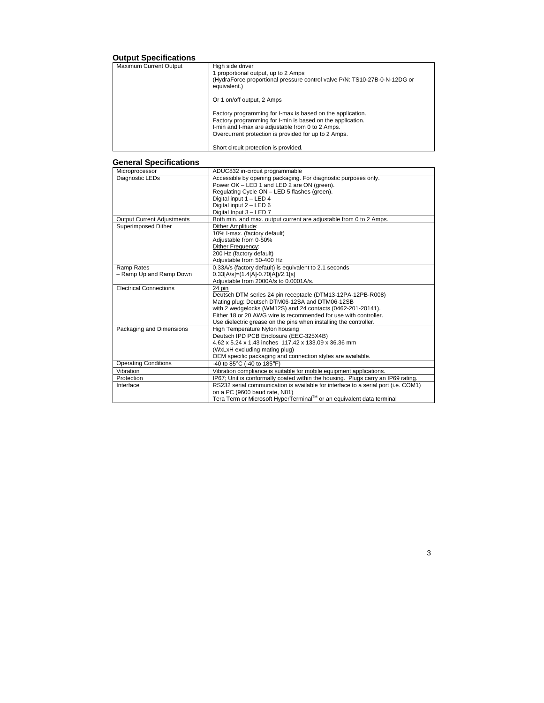# **Output Specifications**

| Maximum Current Output | High side driver<br>1 proportional output, up to 2 Amps<br>(HydraForce proportional pressure control valve P/N: TS10-27B-0-N-12DG or<br>equivalent.)                                                                                 |
|------------------------|--------------------------------------------------------------------------------------------------------------------------------------------------------------------------------------------------------------------------------------|
|                        | Or 1 on/off output, 2 Amps                                                                                                                                                                                                           |
|                        | Factory programming for I-max is based on the application.<br>Factory programming for I-min is based on the application.<br>I-min and I-max are adjustable from 0 to 2 Amps.<br>Overcurrent protection is provided for up to 2 Amps. |
|                        | Short circuit protection is provided.                                                                                                                                                                                                |

## **General Specifications**

I

| Microprocessor                    | ADUC832 in-circuit programmable                                                    |  |  |  |
|-----------------------------------|------------------------------------------------------------------------------------|--|--|--|
| Diagnostic LEDs                   | Accessible by opening packaging. For diagnostic purposes only.                     |  |  |  |
|                                   | Power OK - LED 1 and LED 2 are ON (green).                                         |  |  |  |
|                                   | Regulating Cycle ON - LED 5 flashes (green).                                       |  |  |  |
|                                   | Digital input 1 - LED 4                                                            |  |  |  |
|                                   | Digital input 2 - LED 6                                                            |  |  |  |
|                                   | Digital Input 3 - LED 7                                                            |  |  |  |
| <b>Output Current Adjustments</b> | Both min. and max. output current are adjustable from 0 to 2 Amps.                 |  |  |  |
| Superimposed Dither               | Dither Amplitude:                                                                  |  |  |  |
|                                   | 10% I-max. (factory default)                                                       |  |  |  |
|                                   | Adjustable from 0-50%                                                              |  |  |  |
|                                   | <b>Dither Frequency:</b>                                                           |  |  |  |
|                                   | 200 Hz (factory default)                                                           |  |  |  |
|                                   | Adjustable from 50-400 Hz                                                          |  |  |  |
| Ramp Rates                        | 0.33A/s (factory default) is equivalent to 2.1 seconds                             |  |  |  |
| - Ramp Up and Ramp Down           | $0.33[A/s] = (1.4[A] - 0.70[A])/2.1[s]$                                            |  |  |  |
|                                   | Adjustable from 2000A/s to 0.0001A/s.                                              |  |  |  |
| <b>Electrical Connections</b>     | 24 pin                                                                             |  |  |  |
|                                   | Deutsch DTM series 24 pin receptacle (DTM13-12PA-12PB-R008)                        |  |  |  |
|                                   | Mating plug: Deutsch DTM06-12SA and DTM06-12SB                                     |  |  |  |
|                                   | with 2 wedgelocks (WM12S) and 24 contacts (0462-201-20141).                        |  |  |  |
|                                   | Either 18 or 20 AWG wire is recommended for use with controller.                   |  |  |  |
|                                   | Use dielectric grease on the pins when installing the controller.                  |  |  |  |
| Packaging and Dimensions          | High Temperature Nylon housing                                                     |  |  |  |
|                                   | Deutsch IPD PCB Enclosure (EEC-325X4B)                                             |  |  |  |
|                                   | 4.62 x 5.24 x 1.43 inches 117.42 x 133.09 x 36.36 mm                               |  |  |  |
|                                   | (WxLxH excluding mating plug)                                                      |  |  |  |
|                                   | OEM specific packaging and connection styles are available.                        |  |  |  |
| <b>Operating Conditions</b>       | -40 to 85°C (-40 to 185°F)                                                         |  |  |  |
| Vibration                         | Vibration compliance is suitable for mobile equipment applications.                |  |  |  |
| Protection                        | IP67; Unit is conformally coated within the housing. Plugs carry an IP69 rating.   |  |  |  |
| Interface                         | RS232 serial communication is available for interface to a serial port (i.e. COM1) |  |  |  |
|                                   | on a PC (9600 baud rate, N81)                                                      |  |  |  |
|                                   | Tera Term or Microsoft HyperTerminal™ or an equivalent data terminal               |  |  |  |